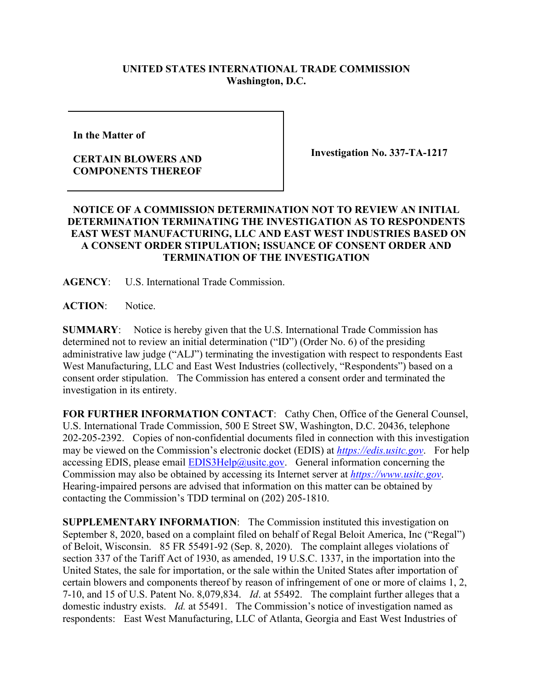## **UNITED STATES INTERNATIONAL TRADE COMMISSION Washington, D.C.**

**In the Matter of** 

## **CERTAIN BLOWERS AND COMPONENTS THEREOF**

**Investigation No. 337-TA-1217**

## **NOTICE OF A COMMISSION DETERMINATION NOT TO REVIEW AN INITIAL DETERMINATION TERMINATING THE INVESTIGATION AS TO RESPONDENTS EAST WEST MANUFACTURING, LLC AND EAST WEST INDUSTRIES BASED ON A CONSENT ORDER STIPULATION; ISSUANCE OF CONSENT ORDER AND TERMINATION OF THE INVESTIGATION**

**AGENCY**: U.S. International Trade Commission.

**ACTION**: Notice.

**SUMMARY**: Notice is hereby given that the U.S. International Trade Commission has determined not to review an initial determination ("ID") (Order No. 6) of the presiding administrative law judge ("ALJ") terminating the investigation with respect to respondents East West Manufacturing, LLC and East West Industries (collectively, "Respondents") based on a consent order stipulation. The Commission has entered a consent order and terminated the investigation in its entirety.

**FOR FURTHER INFORMATION CONTACT**: Cathy Chen, Office of the General Counsel, U.S. International Trade Commission, 500 E Street SW, Washington, D.C. 20436, telephone 202-205-2392. Copies of non-confidential documents filed in connection with this investigation may be viewed on the Commission's electronic docket (EDIS) at *[https://edis.usitc.gov](https://edis.usitc.gov/)*. For help accessing EDIS, please email  $EDIS3Help@ustc.gov$ . General information concerning the Commission may also be obtained by accessing its Internet server at *[https://www.usitc.gov](https://www.usitc.gov/)*. Hearing-impaired persons are advised that information on this matter can be obtained by contacting the Commission's TDD terminal on (202) 205-1810.

**SUPPLEMENTARY INFORMATION**: The Commission instituted this investigation on September 8, 2020, based on a complaint filed on behalf of Regal Beloit America, Inc ("Regal") of Beloit, Wisconsin. 85 FR 55491-92 (Sep. 8, 2020). The complaint alleges violations of section 337 of the Tariff Act of 1930, as amended, 19 U.S.C. 1337, in the importation into the United States, the sale for importation, or the sale within the United States after importation of certain blowers and components thereof by reason of infringement of one or more of claims 1, 2, 7-10, and 15 of U.S. Patent No. 8,079,834. *Id*. at 55492. The complaint further alleges that a domestic industry exists. *Id.* at 55491. The Commission's notice of investigation named as respondents: East West Manufacturing, LLC of Atlanta, Georgia and East West Industries of